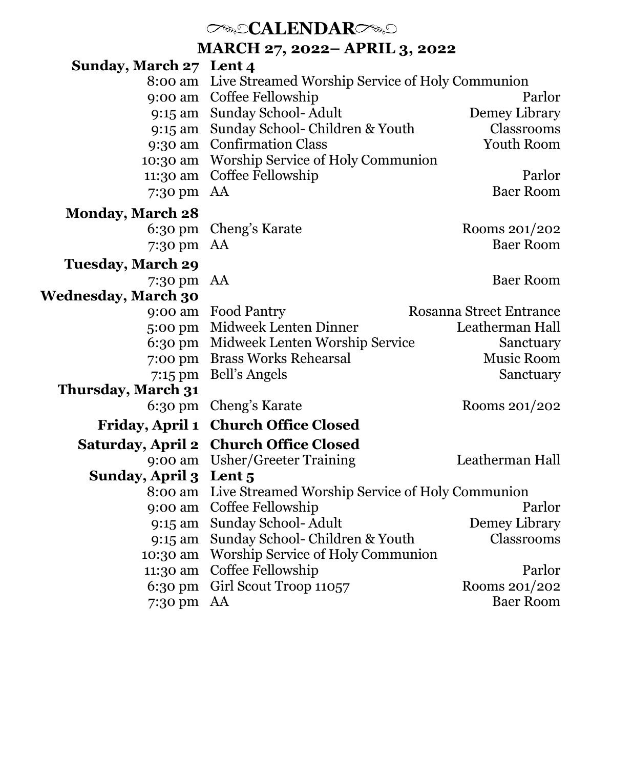# *CALENDARC*

**MARCH 27, 2022– APRIL 3, 2022**

| Sunday, March 27 Lent 4    |                                                 |                         |
|----------------------------|-------------------------------------------------|-------------------------|
| 8:00 am                    | Live Streamed Worship Service of Holy Communion |                         |
| 9:00 am                    | Coffee Fellowship                               | Parlor                  |
|                            | 9:15 am Sunday School-Adult                     | Demey Library           |
|                            | 9:15 am Sunday School- Children & Youth         | Classrooms              |
|                            | 9:30 am Confirmation Class                      | Youth Room              |
| 10:30 am                   | Worship Service of Holy Communion               |                         |
| 11:30 am                   | Coffee Fellowship                               | Parlor                  |
| 7:30 pm                    | AA                                              | <b>Baer Room</b>        |
| <b>Monday, March 28</b>    |                                                 |                         |
| $6:30 \text{ pm}$          | Cheng's Karate                                  | Rooms 201/202           |
| 7:30 pm                    | AA                                              | <b>Baer Room</b>        |
| <b>Tuesday, March 29</b>   |                                                 |                         |
| 7:30 pm AA                 |                                                 | <b>Baer Room</b>        |
| <b>Wednesday, March 30</b> |                                                 |                         |
| 9:00 am                    | Food Pantry                                     | Rosanna Street Entrance |
| 5:00 pm                    | Midweek Lenten Dinner                           | Leatherman Hall         |
| $6:30 \text{ pm}$          | Midweek Lenten Worship Service                  | Sanctuary               |
| 7:00 pm                    | <b>Brass Works Rehearsal</b>                    | Music Room              |
| 7:15 pm                    | Bell's Angels                                   | Sanctuary               |
| Thursday, March 31         |                                                 |                         |
| $6:30 \text{ pm}$          | Cheng's Karate                                  | Rooms 201/202           |
| <b>Friday, April 1</b>     | <b>Church Office Closed</b>                     |                         |
| Saturday, April 2          | <b>Church Office Closed</b>                     |                         |
| 9:00 am                    | Usher/Greeter Training                          | Leatherman Hall         |
| Sunday, April 3            | Lent <sub>5</sub>                               |                         |
| 8:00 am                    | Live Streamed Worship Service of Holy Communion |                         |
| 9:00 am                    | Coffee Fellowship                               | Parlor                  |
| 9:15 am                    | Sunday School-Adult                             | Demey Library           |
| 9:15 am                    | Sunday School- Children & Youth                 | Classrooms              |
| 10:30 am                   | Worship Service of Holy Communion               |                         |
| 11:30 am                   | Coffee Fellowship                               | Parlor                  |
| $6:30 \text{ pm}$          | Girl Scout Troop 11057                          | Rooms 201/202           |
| 7:30 pm                    | AA                                              | <b>Baer Room</b>        |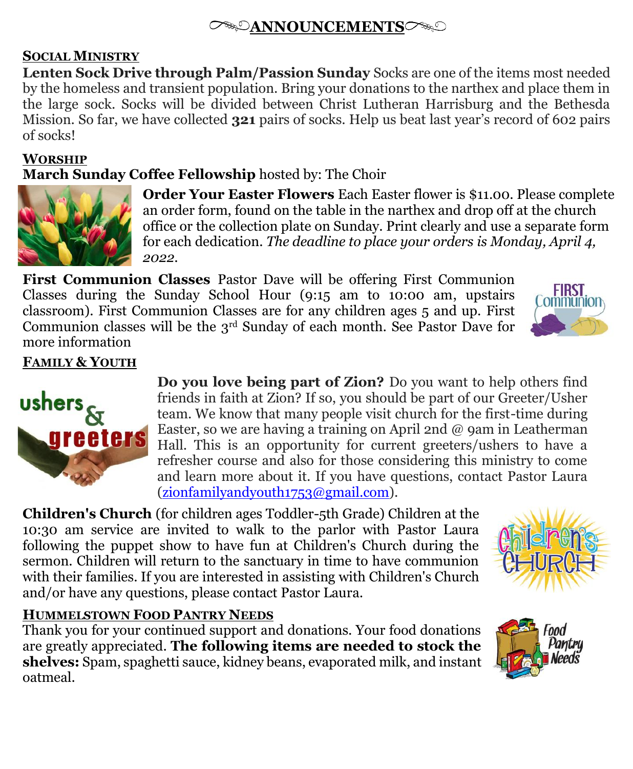# **ANNOUNCEMENTS**

## **SOCIAL MINISTRY**

**Lenten Sock Drive through Palm/Passion Sunday** Socks are one of the items most needed by the homeless and transient population. Bring your donations to the narthex and place them in the large sock. Socks will be divided between Christ Lutheran Harrisburg and the Bethesda Mission. So far, we have collected **321** pairs of socks. Help us beat last year's record of 602 pairs of socks!

#### **WORSHIP**

## **March Sunday Coffee Fellowship** hosted by: The Choir



**Order Your Easter Flowers** Each Easter flower is \$11.00. Please complete an order form, found on the table in the narthex and drop off at the church office or the collection plate on Sunday. Print clearly and use a separate form for each dedication. *The deadline to place your orders is Monday, April 4, 2022.*

**First Communion Classes** Pastor Dave will be offering First Communion Classes during the Sunday School Hour (9:15 am to 10:00 am, upstairs classroom). First Communion Classes are for any children ages 5 and up. First Communion classes will be the 3rd Sunday of each month. See Pastor Dave for more information



## **FAMILY & YOUTH**



**Do you love being part of Zion?** Do you want to help others find friends in faith at Zion? If so, you should be part of our Greeter/Usher team. We know that many people visit church for the first-time during Easter, so we are having a training on April 2nd  $\omega$  9am in Leatherman Hall. This is an opportunity for current greeters/ushers to have a refresher course and also for those considering this ministry to come and learn more about it. If you have questions, contact Pastor Laura  $(zion family and vouth 1753@gmail.com)$ .

**Children's Church** (for children ages Toddler-5th Grade) Children at the 10:30 am service are invited to walk to the parlor with Pastor Laura following the puppet show to have fun at Children's Church during the sermon. Children will return to the sanctuary in time to have communion with their families. If you are interested in assisting with Children's Church and/or have any questions, please contact Pastor Laura.



#### **HUMMELSTOWN FOOD PANTRY NEEDS**

Thank you for your continued support and donations. Your food donations are greatly appreciated. **The following items are needed to stock the shelves:** Spam, spaghetti sauce, kidney beans, evaporated milk, and instant oatmeal.

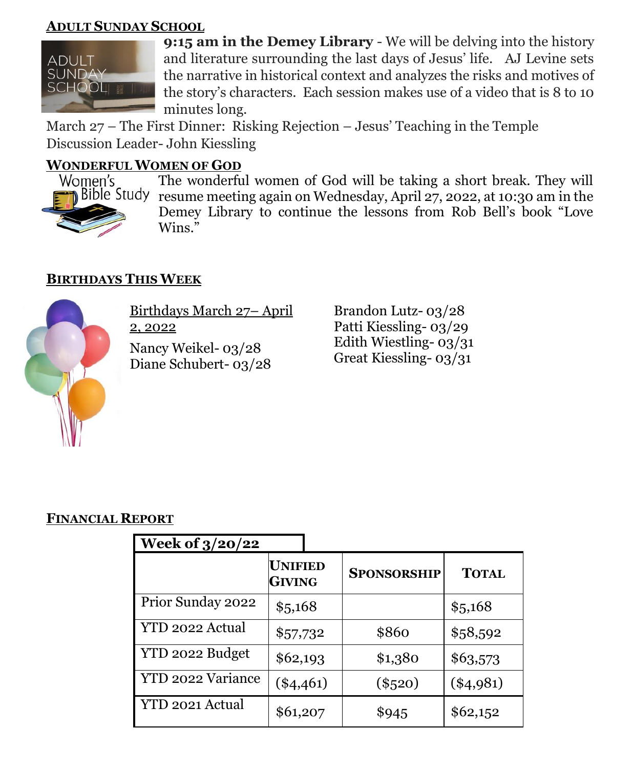#### **ADULT SUNDAY SCHOOL**



**9:15 am in the Demey Library** - We will be delving into the history and literature surrounding the last days of Jesus' life. AJ Levine sets the narrative in historical context and analyzes the risks and motives of the story's characters. Each session makes use of a video that is 8 to 10 minutes long.

March 27 – The First Dinner: Risking Rejection – Jesus' Teaching in the Temple Discussion Leader- John Kiessling

#### **WONDERFUL WOMEN OF GOD**



The wonderful women of God will be taking a short break. They will resume meeting again on Wednesday, April 27, 2022, at 10:30 am in the Demey Library to continue the lessons from Rob Bell's book "Love Wins."

## **BIRTHDAYS THIS WEEK**



Birthdays March 27– April 2, 2022

Nancy Weikel- 03/28 Diane Schubert- 03/28

Brandon Lutz- 03/28 Patti Kiessling- 03/29 Edith Wiestling- 03/31 Great Kiessling- 03/31

#### **FINANCIAL REPORT**

| <b>Week of 3/20/22</b> |                          |                    |              |
|------------------------|--------------------------|--------------------|--------------|
|                        | UNIFIED<br><b>GIVING</b> | <b>SPONSORSHIP</b> | <b>TOTAL</b> |
| Prior Sunday 2022      | \$5,168                  |                    | \$5,168      |
| YTD 2022 Actual        | \$57,732                 | \$860              | \$58,592     |
| YTD 2022 Budget        | \$62,193                 | \$1,380            | \$63,573     |
| YTD 2022 Variance      | $(*4,461)$               | $(\$520)$          | $(*4,981)$   |
| YTD 2021 Actual        | \$61,207                 | \$945              | \$62,152     |